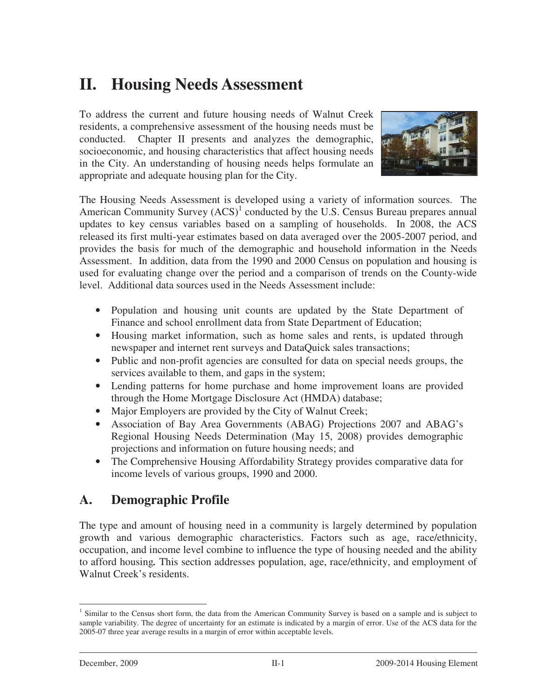# **II. Housing Needs Assessment**

 To address the current and future housing needs of Walnut Creek residents, a comprehensive assessment of the housing needs must be conducted. Chapter II presents and analyzes the demographic, socioeconomic, and housing characteristics that affect housing needs in the City. An understanding of housing needs helps formulate an appropriate and adequate housing plan for the City.



The Housing Needs Assessment is developed using a variety of information sources. The American Community Survey  $(ACS)^1$  conducted by the U.S. Census Bureau prepares annual updates to key census variables based on a sampling of households. In 2008, the ACS released its first multi-year estimates based on data averaged over the 2005-2007 period, and provides the basis for much of the demographic and household information in the Needs Assessment. In addition, data from the 1990 and 2000 Census on population and housing is used for evaluating change over the period and a comparison of trends on the County-wide level. Additional data sources used in the Needs Assessment include:

- • Population and housing unit counts are updated by the State Department of Finance and school enrollment data from State Department of Education;
- • Housing market information, such as home sales and rents, is updated through newspaper and internet rent surveys and DataQuick sales transactions;
- • Public and non-profit agencies are consulted for data on special needs groups, the services available to them, and gaps in the system;
- • Lending patterns for home purchase and home improvement loans are provided through the Home Mortgage Disclosure Act (HMDA) database;
- Major Employers are provided by the City of Walnut Creek;
- • Association of Bay Area Governments (ABAG) Projections 2007 and ABAG's Regional Housing Needs Determination (May 15, 2008) provides demographic projections and information on future housing needs; and
- • The Comprehensive Housing Affordability Strategy provides comparative data for income levels of various groups, 1990 and 2000.

## **A. Demographic Profile**

 The type and amount of housing need in a community is largely determined by population growth and various demographic characteristics. Factors such as age, race/ethnicity, occupation, and income level combine to influence the type of housing needed and the ability to afford housing*.* This section addresses population, age, race/ethnicity, and employment of Walnut Creek's residents.

<sup>-</sup><sup>1</sup> Similar to the Census short form, the data from the American Community Survey is based on a sample and is subject to sample variability. The degree of uncertainty for an estimate is indicated by a margin of error. Use of the ACS data for the 2005-07 three year average results in a margin of error within acceptable levels.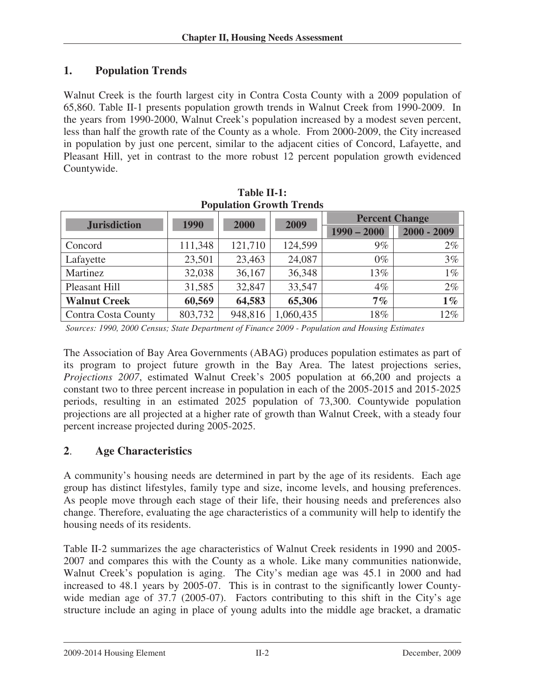#### **1. Population Trends**

 Walnut Creek is the fourth largest city in Contra Costa County with a 2009 population of 65,860. Table II-1 presents population growth trends in Walnut Creek from 1990-2009. In the years from 1990-2000, Walnut Creek's population increased by a modest seven percent, less than half the growth rate of the County as a whole. From 2000-2009, the City increased in population by just one percent, similar to the adjacent cities of Concord, Lafayette, and Pleasant Hill, yet in contrast to the more robust 12 percent population growth evidenced Countywide.

| Population Growth Trends |         |         |              |                       |               |  |
|--------------------------|---------|---------|--------------|-----------------------|---------------|--|
| <b>Jurisdiction</b>      | 1990    |         | 2009<br>2000 | <b>Percent Change</b> |               |  |
|                          |         |         |              | $1990 - 2000$         | $2000 - 2009$ |  |
| Concord                  | 111,348 | 121,710 | 124,599      | $9\%$                 | $2\%$         |  |
| Lafayette                | 23,501  | 23,463  | 24,087       | $0\%$                 | 3%            |  |
| Martinez                 | 32,038  | 36,167  | 36,348       | 13%                   | $1\%$         |  |
| Pleasant Hill            | 31,585  | 32,847  | 33,547       | $4\%$                 | $2\%$         |  |
| <b>Walnut Creek</b>      | 60,569  | 64,583  | 65,306       | 7%                    | $1\%$         |  |
| Contra Costa County      | 803,732 | 948,816 | 1,060,435    | 18%                   | 12%           |  |

| Table II-1:                     |
|---------------------------------|
| <b>Population Growth Trends</b> |

 *Sources: 1990, 2000 Census; State Department of Finance 2009 - Population and Housing Estimates* 

 The Association of Bay Area Governments (ABAG) produces population estimates as part of its program to project future growth in the Bay Area. The latest projections series, *Projections 2007*, estimated Walnut Creek's 2005 population at 66,200 and projects a constant two to three percent increase in population in each of the 2005-2015 and 2015-2025 periods, resulting in an estimated 2025 population of 73,300. Countywide population projections are all projected at a higher rate of growth than Walnut Creek, with a steady four percent increase projected during 2005-2025.

#### **2**. **Age Characteristics**

 A community's housing needs are determined in part by the age of its residents. Each age group has distinct lifestyles, family type and size, income levels, and housing preferences. As people move through each stage of their life, their housing needs and preferences also change. Therefore, evaluating the age characteristics of a community will help to identify the housing needs of its residents.

Table II-2 summarizes the age characteristics of Walnut Creek residents in 1990 and 2005- 2007 and compares this with the County as a whole. Like many communities nationwide, Walnut Creek's population is aging. The City's median age was 45.1 in 2000 and had increased to 48.1 years by 2005-07. This is in contrast to the significantly lower Countywide median age of 37.7 (2005-07). Factors contributing to this shift in the City's age structure include an aging in place of young adults into the middle age bracket, a dramatic

2009-2014 Housing Element II-2 December, 2009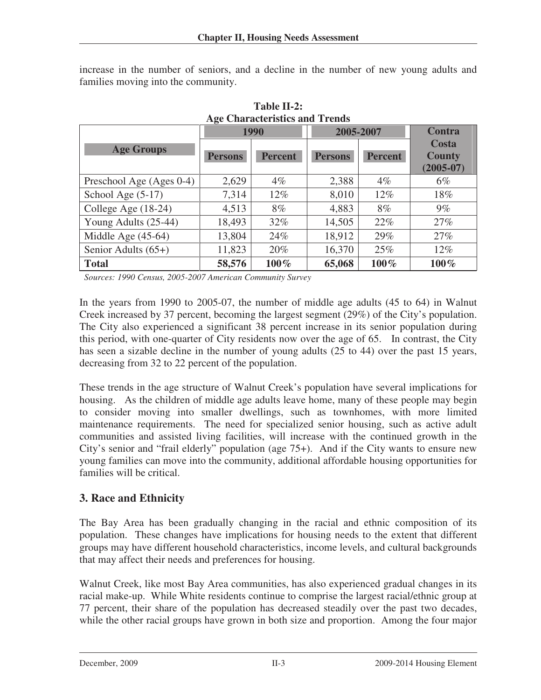increase in the number of seniors, and a decline in the number of new young adults and families moving into the community.

 **Table II-2:** 

| <b>Age Characteristics and Trends</b> |                |                |                |                |                                       |
|---------------------------------------|----------------|----------------|----------------|----------------|---------------------------------------|
|                                       | 1990           |                | 2005-2007      |                | <b>Contra</b>                         |
| <b>Age Groups</b>                     | <b>Persons</b> | <b>Percent</b> | <b>Persons</b> | <b>Percent</b> | Costa<br><b>County</b><br>$(2005-07)$ |
| Preschool Age (Ages 0-4)              | 2,629          | $4\%$          | 2,388          | $4\%$          | $6\%$                                 |
| School Age (5-17)                     | 7,314          | $12\%$         | 8,010          | 12%            | 18%                                   |
| College Age (18-24)                   | 4,513          | 8%             | 4,883          | 8%             | $9\%$                                 |
| Young Adults (25-44)                  | 18,493         | 32%            | 14,505         | 22%            | 27%                                   |
| Middle Age $(45-64)$                  | 13,804         | 24%            | 18,912         | 29%            | 27%                                   |
| Senior Adults $(65+)$                 | 11,823         | 20%            | 16,370         | 25%            | 12%                                   |
| <b>Total</b>                          | 58,576         | $100\%$        | 65,068         | 100%           | 100%                                  |

 *Sources: 1990 Census, 2005-2007 American Community Survey* 

 In the years from 1990 to 2005-07, the number of middle age adults (45 to 64) in Walnut Creek increased by 37 percent, becoming the largest segment (29%) of the City's population. The City also experienced a significant 38 percent increase in its senior population during this period, with one-quarter of City residents now over the age of 65. In contrast, the City has seen a sizable decline in the number of young adults (25 to 44) over the past 15 years, decreasing from 32 to 22 percent of the population.

 These trends in the age structure of Walnut Creek's population have several implications for housing. As the children of middle age adults leave home, many of these people may begin to consider moving into smaller dwellings, such as townhomes, with more limited maintenance requirements. The need for specialized senior housing, such as active adult communities and assisted living facilities, will increase with the continued growth in the City's senior and "frail elderly" population (age 75+). And if the City wants to ensure new young families can move into the community, additional affordable housing opportunities for families will be critical.

#### **3. Race and Ethnicity**

 The Bay Area has been gradually changing in the racial and ethnic composition of its population. These changes have implications for housing needs to the extent that different groups may have different household characteristics, income levels, and cultural backgrounds that may affect their needs and preferences for housing.

 Walnut Creek, like most Bay Area communities, has also experienced gradual changes in its racial make-up. While White residents continue to comprise the largest racial/ethnic group at 77 percent, their share of the population has decreased steadily over the past two decades, while the other racial groups have grown in both size and proportion. Among the four major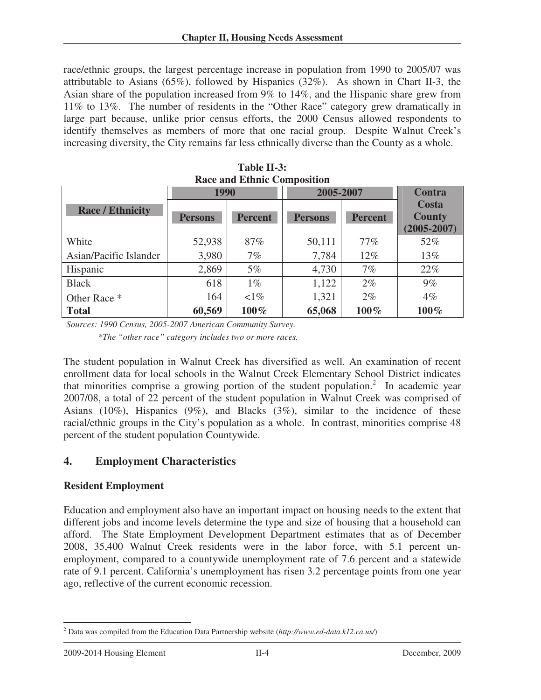race/ethnic groups, the largest percentage increase in population from 1990 to 2005/07 was attributable to Asians (65%), followed by Hispanics (32%). As shown in Chart II-3, the Asian share of the population increased from 9% to 14%, and the Hispanic share grew from 11% to 13%. The number of residents in the "Other Race" category grew dramatically in large part because, unlike prior census efforts, the 2000 Census allowed respondents to identify themselves as members of more that one racial group. Despite Walnut Creek's increasing diversity, the City remains far less ethnically diverse than the County as a whole.

| Race and Ethnic Composition |                |                |                |                |                                           |
|-----------------------------|----------------|----------------|----------------|----------------|-------------------------------------------|
|                             | 1990           |                | 2005-2007      | <b>Contra</b>  |                                           |
| <b>Race / Ethnicity</b>     | <b>Persons</b> | <b>Percent</b> | <b>Persons</b> | <b>Percent</b> | Costa<br><b>County</b><br>$(2005 - 2007)$ |
| White                       | 52,938         | 87%            | 50,111         | $77\%$         | 52%                                       |
| Asian/Pacific Islander      | 3,980          | 7%             | 7,784          | $12\%$         | $13\%$                                    |
| Hispanic                    | 2,869          | $5\%$          | 4,730          | 7%             | 22%                                       |
| <b>Black</b>                | 618            | $1\%$          | 1,122          | $2\%$          | 9%                                        |
| Other Race *                | 164            | $\leq 1\%$     | 1,321          | $2\%$          | $4\%$                                     |
| <b>Total</b>                | 60,569         | $100\%$        | 65,068         | $100\%$        | 100%                                      |

 **Table II-3: Race and Ethnic Composition** 

 *Sources: 1990 Census, 2005-2007 American Community Survey.* 

 *\*The "other race" category includes two or more races.*

The student population in Walnut Creek has diversified as well. An examination of recent enrollment data for local schools in the Walnut Creek Elementary School District indicates that minorities comprise a growing portion of the student population.<sup>2</sup> In academic year 2007/08, a total of 22 percent of the student population in Walnut Creek was comprised of Asians (10%), Hispanics (9%), and Blacks (3%), similar to the incidence of these racial/ethnic groups in the City's population as a whole. In contrast, minorities comprise 48 percent of the student population Countywide.

#### **4. Employment Characteristics**

#### **Resident Employment**

Education and employment also have an important impact on housing needs to the extent that different jobs and income levels determine the type and size of housing that a household can afford. The State Employment Development Department estimates that as of December 2008, 35,400 Walnut Creek residents were in the labor force, with 5.1 percent unemployment, compared to a countywide unemployment rate of 7.6 percent and a statewide rate of 9.1 percent. California's unemployment has risen 3.2 percentage points from one year ago, reflective of the current economic recession.

 $\overline{a}$ <sup>2</sup> Data was compiled from the Education Data Partnership website (*[http://www.ed-data.k12.ca.us/](http://www.ed-data.k12.ca.us)*)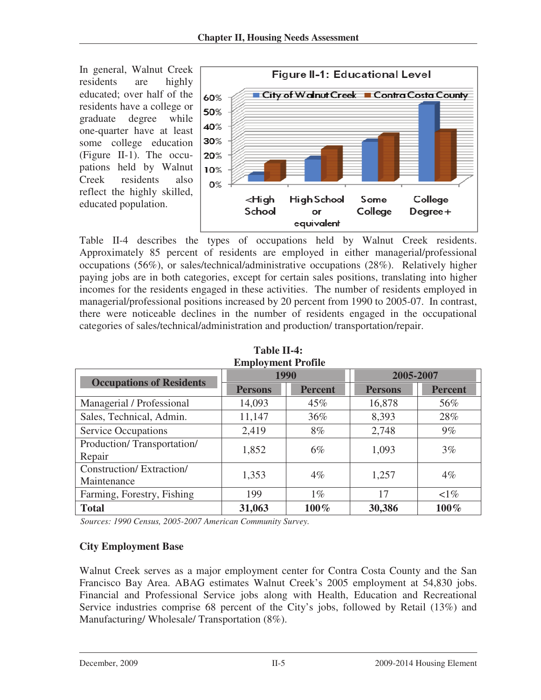In general, Walnut Creek residents are highly educated; over half of the residents have a college or graduate degree while one-quarter have at least some college education (Figure II-1). The occupations held by Walnut Creek residents also reflect the highly skilled, educated population.



 Table II-4 describes the types of occupations held by Walnut Creek residents. Approximately 85 percent of residents are employed in either managerial/professional occupations (56%), or sales/technical/administrative occupations (28%). Relatively higher paying jobs are in both categories, except for certain sales positions, translating into higher incomes for the residents engaged in these activities. The number of residents employed in managerial/professional positions increased by 20 percent from 1990 to 2005-07. In contrast, there were noticeable declines in the number of residents engaged in the occupational categories of sales/technical/administration and production/ transportation/repair.

| енирго унили в топил                     |                |                |                |                |  |
|------------------------------------------|----------------|----------------|----------------|----------------|--|
| <b>Occupations of Residents</b>          | 1990           |                | 2005-2007      |                |  |
|                                          | <b>Persons</b> | <b>Percent</b> | <b>Persons</b> | <b>Percent</b> |  |
| Managerial / Professional                | 14,093         | 45%            | 16,878         | 56%            |  |
| Sales, Technical, Admin.                 | 11,147         | 36%            | 8,393          | 28%            |  |
| <b>Service Occupations</b>               | 2,419          | 8%             | 2,748          | $9\%$          |  |
| Production/Transportation/<br>Repair     | 1,852          | 6%             | 1,093          | 3%             |  |
| Construction/ Extraction/<br>Maintenance | 1,353          | $4\%$          | 1,257          | $4\%$          |  |
| Farming, Forestry, Fishing               | 199            | $1\%$          | 17             | $\leq$ 1%      |  |
| <b>Total</b>                             | 31,063         | 100%           | 30,386         | 100%           |  |

 **Table II-4: Employment Profile** 

 *Sources: 1990 Census, 2005-2007 American Community Survey.* 

#### **City Employment Base**

 Walnut Creek serves as a major employment center for Contra Costa County and the San Francisco Bay Area. ABAG estimates Walnut Creek's 2005 employment at 54,830 jobs. Financial and Professional Service jobs along with Health, Education and Recreational Service industries comprise 68 percent of the City's jobs, followed by Retail (13%) and Manufacturing/ Wholesale/ Transportation (8%).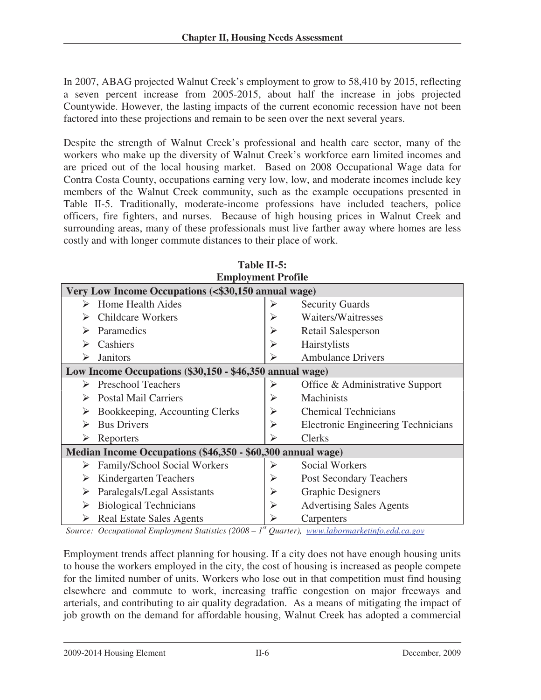In 2007, ABAG projected Walnut Creek's employment to grow to 58,410 by 2015, reflecting a seven percent increase from 2005-2015, about half the increase in jobs projected Countywide. However, the lasting impacts of the current economic recession have not been factored into these projections and remain to be seen over the next several years.

Despite the strength of Walnut Creek's professional and health care sector, many of the workers who make up the diversity of Walnut Creek's workforce earn limited incomes and are priced out of the local housing market. Based on 2008 Occupational Wage data for Contra Costa County, occupations earning very low, low, and moderate incomes include key members of the Walnut Creek community, such as the example occupations presented in Table II-5. Traditionally, moderate-income professions have included teachers, police officers, fire fighters, and nurses. Because of high housing prices in Walnut Creek and surrounding areas, many of these professionals must live farther away where homes are less costly and with longer commute distances to their place of work.

| Table II-5:                                                                                       |                       |                                           |  |  |
|---------------------------------------------------------------------------------------------------|-----------------------|-------------------------------------------|--|--|
| <b>Employment Profile</b>                                                                         |                       |                                           |  |  |
| Very Low Income Occupations (<\$30,150 annual wage)                                               |                       |                                           |  |  |
| Home Health Aides                                                                                 | ⋗                     | <b>Security Guards</b>                    |  |  |
| <b>Childcare Workers</b>                                                                          | ➤                     | Waiters/Waitresses                        |  |  |
| Paramedics                                                                                        |                       | Retail Salesperson                        |  |  |
| Cashiers                                                                                          | $\blacktriangleright$ | Hairstylists                              |  |  |
| <b>Janitors</b>                                                                                   |                       | <b>Ambulance Drivers</b>                  |  |  |
| Low Income Occupations (\$30,150 - \$46,350 annual wage)                                          |                       |                                           |  |  |
| <b>Preschool Teachers</b><br>⋗                                                                    | ➤                     | Office & Administrative Support           |  |  |
| <b>Postal Mail Carriers</b>                                                                       | $\blacktriangleright$ | Machinists                                |  |  |
| Bookkeeping, Accounting Clerks                                                                    | ≻                     | <b>Chemical Technicians</b>               |  |  |
| <b>Bus Drivers</b>                                                                                | $\blacktriangleright$ | <b>Electronic Engineering Technicians</b> |  |  |
| Reporters<br>➤                                                                                    |                       | <b>Clerks</b>                             |  |  |
| Median Income Occupations (\$46,350 - \$60,300 annual wage)                                       |                       |                                           |  |  |
| Family/School Social Workers                                                                      | ➤                     | <b>Social Workers</b>                     |  |  |
| Kindergarten Teachers<br>➤                                                                        | ➤                     | <b>Post Secondary Teachers</b>            |  |  |
| Paralegals/Legal Assistants                                                                       | ➤                     | <b>Graphic Designers</b>                  |  |  |
| <b>Biological Technicians</b>                                                                     | ➤                     | <b>Advertising Sales Agents</b>           |  |  |
| <b>Real Estate Sales Agents</b>                                                                   |                       | Carpenters                                |  |  |
| Source: Occupational Employment Statistics (2008 – $Ist$ Quarter), www.labormarketinfo.edd.ca.gov |                       |                                           |  |  |

Employment trends affect planning for housing. If a city does not have enough housing units

 to house the workers employed in the city, the cost of housing is increased as people compete for the limited number of units. Workers who lose out in that competition must find housing elsewhere and commute to work, increasing traffic congestion on major freeways and arterials, and contributing to air quality degradation. As a means of mitigating the impact of job growth on the demand for affordable housing, Walnut Creek has adopted a commercial